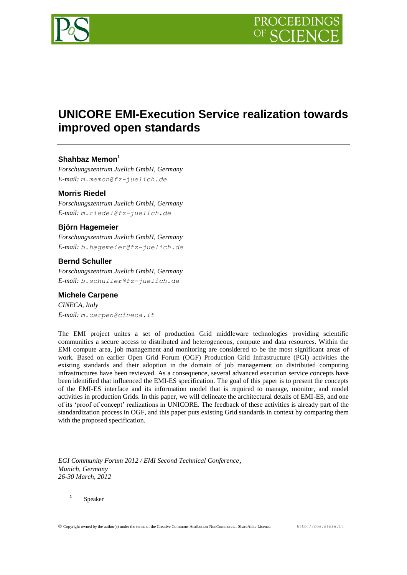

# **UNICORE EMI-Execution Service realization towards improved open standards**

## **Shahbaz Memon<sup>1</sup>**

*Forschungszentrum Juelich GmbH, Germany E-mail: m.memon@fz-juelich.de*

# **Morris Riedel**

*Forschungszentrum Juelich GmbH, Germany E-mail: m.riedel@fz-juelich.de*

## **Björn Hagemeier**

*Forschungszentrum Juelich GmbH, Germany E-mail: b.hagemeier@fz-juelich.de*

## **Bernd Schuller**

*Forschungszentrum Juelich GmbH, Germany E-mail: b.schuller@fz-juelich.de*

## **Michele Carpene**

*CINECA, Italy E-mail: m.carpen@cineca.it*

The EMI project unites a set of production Grid middleware technologies providing scientific communities a secure access to distributed and heterogeneous, compute and data resources. Within the EMI compute area, job management and monitoring are considered to be the most significant areas of work. Based on earlier Open Grid Forum (OGF) Production Grid Infrastructure (PGI) activities the existing standards and their adoption in the domain of job management on distributed computing infrastructures have been reviewed. As a consequence, several advanced execution service concepts have been identified that influenced the EMI-ES specification. The goal of this paper is to present the concepts of the EMI-ES interface and its information model that is required to manage, monitor, and model activities in production Grids. In this paper, we will delineate the architectural details of EMI-ES, and one of its 'proof of concept' realizations in UNICORE. The feedback of these activities is already part of the standardization process in OGF, and this paper puts existing Grid standards in context by comparing them with the proposed specification.

*EGI Community Forum 2012 / EMI Second Technical Conference*, *Munich, Germany 26-30 March, 2012*

Speaker

1 1

 $@$  Copyright owned by the author(s) under the terms of the Creative Commons Attribution-NonCommercial-ShareAlike Licence.  $http://pos.sissa.it$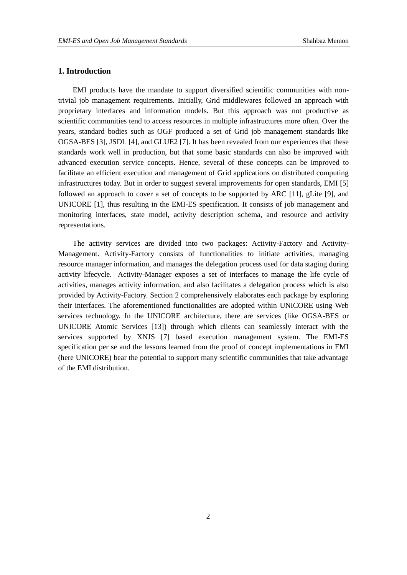## **1. Introduction**

EMI products have the mandate to support diversified scientific communities with nontrivial job management requirements. Initially, Grid middlewares followed an approach with proprietary interfaces and information models. But this approach was not productive as scientific communities tend to access resources in multiple infrastructures more often. Over the years, standard bodies such as OGF produced a set of Grid job management standards like OGSA-BES [3], JSDL [4], and GLUE2 [7]. It has been revealed from our experiences that these standards work well in production, but that some basic standards can also be improved with advanced execution service concepts. Hence, several of these concepts can be improved to facilitate an efficient execution and management of Grid applications on distributed computing infrastructures today. But in order to suggest several improvements for open standards, EMI [5] followed an approach to cover a set of concepts to be supported by ARC [11], gLite [9], and UNICORE [1], thus resulting in the EMI-ES specification. It consists of job management and monitoring interfaces, state model, activity description schema, and resource and activity representations.

The activity services are divided into two packages: Activity-Factory and Activity-Management. Activity-Factory consists of functionalities to initiate activities, managing resource manager information, and manages the delegation process used for data staging during activity lifecycle. Activity-Manager exposes a set of interfaces to manage the life cycle of activities, manages activity information, and also facilitates a delegation process which is also provided by Activity-Factory. Section 2 comprehensively elaborates each package by exploring their interfaces. The aforementioned functionalities are adopted within UNICORE using Web services technology. In the UNICORE architecture, there are services (like OGSA-BES or UNICORE Atomic Services [13]) through which clients can seamlessly interact with the services supported by XNJS [7] based execution management system. The EMI-ES specification per se and the lessons learned from the proof of concept implementations in EMI (here UNICORE) bear the potential to support many scientific communities that take advantage of the EMI distribution.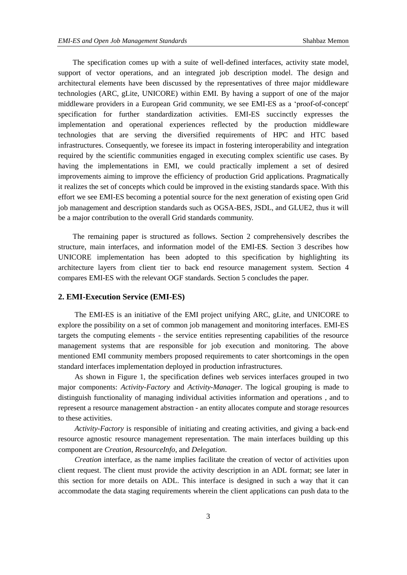The specification comes up with a suite of well-defined interfaces, activity state model, support of vector operations, and an integrated job description model. The design and architectural elements have been discussed by the representatives of three major middleware technologies (ARC, gLite, UNICORE) within EMI. By having a support of one of the major middleware providers in a European Grid community, we see EMI-ES as a 'proof-of-concept' specification for further standardization activities. EMI-ES succinctly expresses the implementation and operational experiences reflected by the production middleware technologies that are serving the diversified requirements of HPC and HTC based infrastructures. Consequently, we foresee its impact in fostering interoperability and integration required by the scientific communities engaged in executing complex scientific use cases. By having the implementations in EMI, we could practically implement a set of desired improvements aiming to improve the efficiency of production Grid applications. Pragmatically it realizes the set of concepts which could be improved in the existing standards space. With this effort we see EMI-ES becoming a potential source for the next generation of existing open Grid job management and description standards such as OGSA-BES, JSDL, and GLUE2, thus it will be a major contribution to the overall Grid standards community.

The remaining paper is structured as follows. Section 2 comprehensively describes the structure, main interfaces, and information model of the EMI-E**S**. Section 3 describes how UNICORE implementation has been adopted to this specification by highlighting its architecture layers from client tier to back end resource management system. Section 4 compares EMI-ES with the relevant OGF standards. Section 5 concludes the paper.

## **2. EMI-Execution Service (EMI-ES)**

The EMI-ES is an initiative of the EMI project unifying ARC, gLite, and UNICORE to explore the possibility on a set of common job management and monitoring interfaces. EMI-ES targets the computing elements - the service entities representing capabilities of the resource management systems that are responsible for job execution and monitoring. The above mentioned EMI community members proposed requirements to cater shortcomings in the open standard interfaces implementation deployed in production infrastructures.

As shown in Figure 1, the specification defines web services interfaces grouped in two major components: *Activity-Factory* and *Activity-Manager*. The logical grouping is made to distinguish functionality of managing individual activities information and operations , and to represent a resource management abstraction - an entity allocates compute and storage resources to these activities.

*Activity-Factory* is responsible of initiating and creating activities, and giving a back-end resource agnostic resource management representation. The main interfaces building up this component are *Creation*, *ResourceInfo*, and *Delegation*.

*Creation* interface, as the name implies facilitate the creation of vector of activities upon client request. The client must provide the activity description in an ADL format; see later in this section for more details on ADL. This interface is designed in such a way that it can accommodate the data staging requirements wherein the client applications can push data to the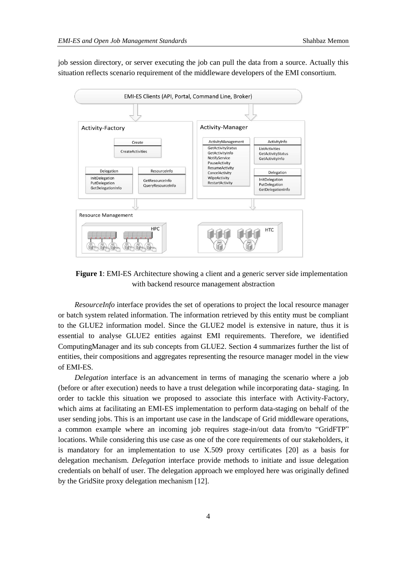job session directory, or server executing the job can pull the data from a source. Actually this situation reflects scenario requirement of the middleware developers of the EMI consortium.



**Figure 1**: EMI-ES Architecture showing a client and a generic server side implementation with backend resource management abstraction

*ResourceInfo* interface provides the set of operations to project the local resource manager or batch system related information. The information retrieved by this entity must be compliant to the GLUE2 information model. Since the GLUE2 model is extensive in nature, thus it is essential to analyse GLUE2 entities against EMI requirements. Therefore, we identified ComputingManager and its sub concepts from GLUE2. Section 4 summarizes further the list of entities, their compositions and aggregates representing the resource manager model in the view of EMI-ES.

*Delegation* interface is an advancement in terms of managing the scenario where a job (before or after execution) needs to have a trust delegation while incorporating data- staging. In order to tackle this situation we proposed to associate this interface with Activity-Factory, which aims at facilitating an EMI-ES implementation to perform data-staging on behalf of the user sending jobs. This is an important use case in the landscape of Grid middleware operations, a common example where an incoming job requires stage-in/out data from/to "GridFTP" locations. While considering this use case as one of the core requirements of our stakeholders, it is mandatory for an implementation to use X.509 proxy certificates [20] as a basis for delegation mechanism. *Delegation* interface provide methods to initiate and issue delegation credentials on behalf of user. The delegation approach we employed here was originally defined by the GridSite proxy delegation mechanism [12].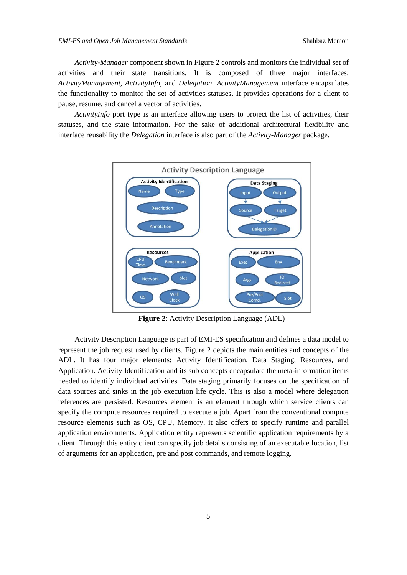*Activity-Manager* component shown in Figure 2 controls and monitors the individual set of activities and their state transitions. It is composed of three major interfaces: *ActivityManagement, ActivityInfo,* and *Delegation*. *ActivityManagement* interface encapsulates the functionality to monitor the set of activities statuses. It provides operations for a client to pause, resume, and cancel a vector of activities.

*ActivityInfo* port type is an interface allowing users to project the list of activities, their statuses, and the state information. For the sake of additional architectural flexibility and interface reusability the *Delegation* interface is also part of the *Activity-Manager* package.



**Figure 2**: Activity Description Language (ADL)

Activity Description Language is part of EMI-ES specification and defines a data model to represent the job request used by clients. Figure 2 depicts the main entities and concepts of the ADL. It has four major elements: Activity Identification, Data Staging, Resources, and Application. Activity Identification and its sub concepts encapsulate the meta-information items needed to identify individual activities. Data staging primarily focuses on the specification of data sources and sinks in the job execution life cycle. This is also a model where delegation references are persisted. Resources element is an element through which service clients can specify the compute resources required to execute a job. Apart from the conventional compute resource elements such as OS, CPU, Memory, it also offers to specify runtime and parallel application environments. Application entity represents scientific application requirements by a client. Through this entity client can specify job details consisting of an executable location, list of arguments for an application, pre and post commands, and remote logging.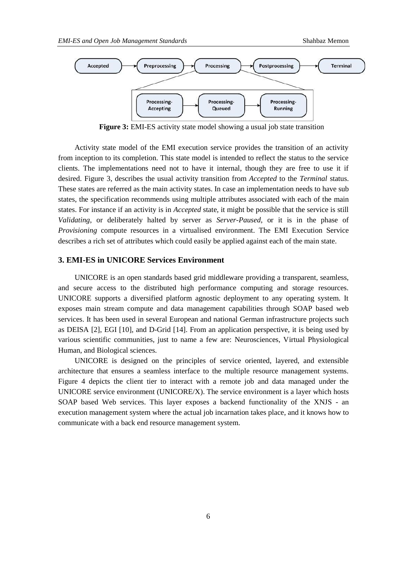

**Figure 3:** EMI-ES activity state model showing a usual job state transition

Activity state model of the EMI execution service provides the transition of an activity from inception to its completion. This state model is intended to reflect the status to the service clients. The implementations need not to have it internal, though they are free to use it if desired. Figure 3, describes the usual activity transition from *Accepted* to the *Terminal* status. These states are referred as the main activity states. In case an implementation needs to have sub states, the specification recommends using multiple attributes associated with each of the main states. For instance if an activity is in *Accepted* state, it might be possible that the service is still *Validating*, or deliberately halted by server as *Server-Paused*, or it is in the phase of *Provisioning* compute resources in a virtualised environment. The EMI Execution Service describes a rich set of attributes which could easily be applied against each of the main state.

## **3. EMI-ES in UNICORE Services Environment**

UNICORE is an open standards based grid middleware providing a transparent, seamless, and secure access to the distributed high performance computing and storage resources. UNICORE supports a diversified platform agnostic deployment to any operating system. It exposes main stream compute and data management capabilities through SOAP based web services. It has been used in several European and national German infrastructure projects such as DEISA [2], EGI [10], and D-Grid [14]. From an application perspective, it is being used by various scientific communities, just to name a few are: Neurosciences, Virtual Physiological Human, and Biological sciences.

UNICORE is designed on the principles of service oriented, layered, and extensible architecture that ensures a seamless interface to the multiple resource management systems. Figure 4 depicts the client tier to interact with a remote job and data managed under the UNICORE service environment (UNICORE/X). The service environment is a layer which hosts SOAP based Web services. This layer exposes a backend functionality of the XNJS - an execution management system where the actual job incarnation takes place, and it knows how to communicate with a back end resource management system.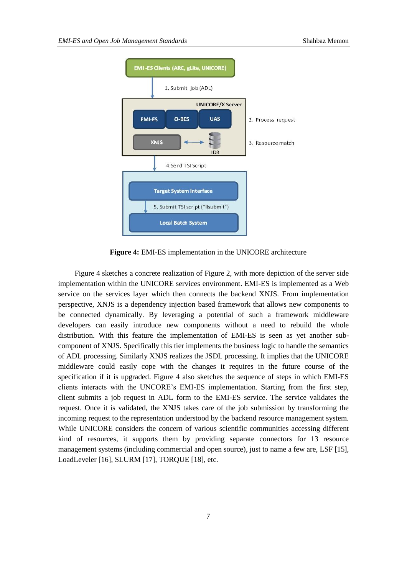

**Figure 4:** EMI-ES implementation in the UNICORE architecture

Figure 4 sketches a concrete realization of Figure 2, with more depiction of the server side implementation within the UNICORE services environment. EMI-ES is implemented as a Web service on the services layer which then connects the backend XNJS. From implementation perspective, XNJS is a dependency injection based framework that allows new components to be connected dynamically. By leveraging a potential of such a framework middleware developers can easily introduce new components without a need to rebuild the whole distribution. With this feature the implementation of EMI-ES is seen as yet another subcomponent of XNJS. Specifically this tier implements the business logic to handle the semantics of ADL processing. Similarly XNJS realizes the JSDL processing. It implies that the UNICORE middleware could easily cope with the changes it requires in the future course of the specification if it is upgraded. Figure 4 also sketches the sequence of steps in which EMI-ES clients interacts with the UNCORE's EMI-ES implementation. Starting from the first step, client submits a job request in ADL form to the EMI-ES service. The service validates the request. Once it is validated, the XNJS takes care of the job submission by transforming the incoming request to the representation understood by the backend resource management system. While UNICORE considers the concern of various scientific communities accessing different kind of resources, it supports them by providing separate connectors for 13 resource management systems (including commercial and open source), just to name a few are, LSF [15], LoadLeveler [16], SLURM [17], TORQUE [18], etc.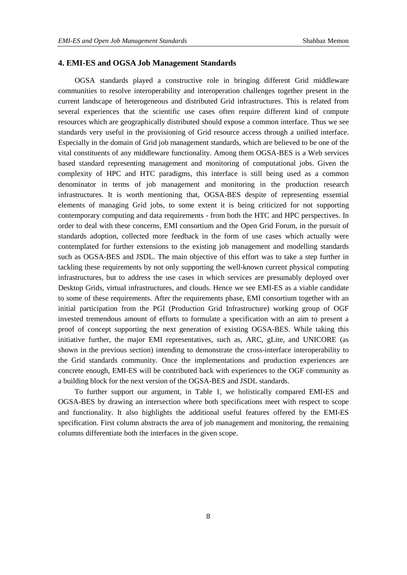## **4. EMI-ES and OGSA Job Management Standards**

OGSA standards played a constructive role in bringing different Grid middleware communities to resolve interoperability and interoperation challenges together present in the current landscape of heterogeneous and distributed Grid infrastructures. This is related from several experiences that the scientific use cases often require different kind of compute resources which are geographically distributed should expose a common interface. Thus we see standards very useful in the provisioning of Grid resource access through a unified interface. Especially in the domain of Grid job management standards, which are believed to be one of the vital constituents of any middleware functionality. Among them OGSA-BES is a Web services based standard representing management and monitoring of computational jobs. Given the complexity of HPC and HTC paradigms, this interface is still being used as a common denominator in terms of job management and monitoring in the production research infrastructures. It is worth mentioning that, OGSA-BES despite of representing essential elements of managing Grid jobs, to some extent it is being criticized for not supporting contemporary computing and data requirements - from both the HTC and HPC perspectives. In order to deal with these concerns, EMI consortium and the Open Grid Forum, in the pursuit of standards adoption, collected more feedback in the form of use cases which actually were contemplated for further extensions to the existing job management and modelling standards such as OGSA-BES and JSDL. The main objective of this effort was to take a step further in tackling these requirements by not only supporting the well-known current physical computing infrastructures, but to address the use cases in which services are presumably deployed over Desktop Grids, virtual infrastructures, and clouds. Hence we see EMI-ES as a viable candidate to some of these requirements. After the requirements phase, EMI consortium together with an initial participation from the PGI (Production Grid Infrastructure) working group of OGF invested tremendous amount of efforts to formulate a specification with an aim to present a proof of concept supporting the next generation of existing OGSA-BES. While taking this initiative further, the major EMI representatives, such as, ARC, gLite, and UNICORE (as shown in the previous section) intending to demonstrate the cross-interface interoperability to the Grid standards community. Once the implementations and production experiences are concrete enough, EMI-ES will be contributed back with experiences to the OGF community as a building block for the next version of the OGSA-BES and JSDL standards.

To further support our argument, in Table 1, we holistically compared EMI-ES and OGSA-BES by drawing an intersection where both specifications meet with respect to scope and functionality. It also highlights the additional useful features offered by the EMI-ES specification. First column abstracts the area of job management and monitoring, the remaining columns differentiate both the interfaces in the given scope.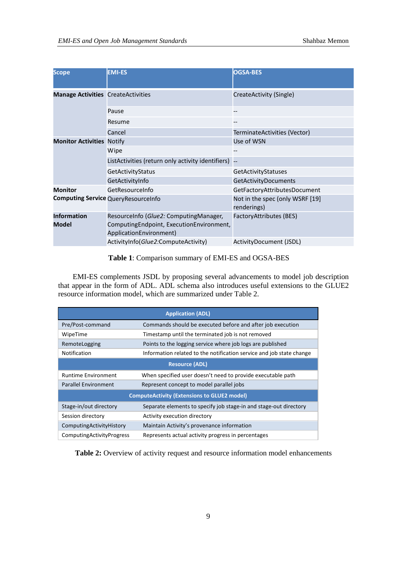| Scope                                     | <b>EMI-ES</b>                                                                                                   | <b>OGSA-BES</b>                                |
|-------------------------------------------|-----------------------------------------------------------------------------------------------------------------|------------------------------------------------|
| <b>Manage Activities CreateActivities</b> |                                                                                                                 | CreateActivity (Single)                        |
|                                           | Pause                                                                                                           | --                                             |
|                                           | Resume                                                                                                          |                                                |
|                                           | Cancel                                                                                                          | TerminateActivities (Vector)                   |
| <b>Monitor Activities Notify</b>          |                                                                                                                 | Use of WSN                                     |
|                                           | Wipe                                                                                                            |                                                |
|                                           | ListActivities (return only activity identifiers)                                                               |                                                |
|                                           | GetActivityStatus                                                                                               | GetActivityStatuses                            |
|                                           | GetActivityInfo                                                                                                 | GetActivityDocuments                           |
| <b>Monitor</b>                            | GetResourceInfo                                                                                                 | GetFactoryAttributesDocument                   |
|                                           | <b>Computing Service QueryResourceInfo</b>                                                                      | Not in the spec (only WSRF [19]<br>renderings) |
| <b>Information</b><br>Model               | ResourceInfo (Glue2: ComputingManager,<br>Computing Endpoint, Execution Environment,<br>ApplicationEnvironment) | FactoryAttributes (BES)                        |
|                                           | ActivityInfo(Glue2:ComputeActivity)                                                                             | ActivityDocument (JSDL)                        |

**Table 1**: Comparison summary of EMI-ES and OGSA-BES

EMI-ES complements JSDL by proposing several advancements to model job description that appear in the form of ADL. ADL schema also introduces useful extensions to the GLUE2 resource information model, which are summarized under Table 2.

| <b>Application (ADL)</b>                           |                                                                      |  |
|----------------------------------------------------|----------------------------------------------------------------------|--|
| Pre/Post-command                                   | Commands should be executed before and after job execution           |  |
| WipeTime                                           | Timestamp until the terminated job is not removed                    |  |
| RemoteLogging                                      | Points to the logging service where job logs are published           |  |
| Notification                                       | Information related to the notification service and job state change |  |
| <b>Resource (ADL)</b>                              |                                                                      |  |
| <b>Runtime Environment</b>                         | When specified user doesn't need to provide executable path          |  |
| <b>Parallel Environment</b>                        | Represent concept to model parallel jobs                             |  |
| <b>ComputeActivity (Extensions to GLUE2 model)</b> |                                                                      |  |
| Stage-in/out directory                             | Separate elements to specify job stage-in and stage-out directory    |  |
| Session directory                                  | Activity execution directory                                         |  |
| ComputingActivityHistory                           | Maintain Activity's provenance information                           |  |
| ComputingActivityProgress                          | Represents actual activity progress in percentages                   |  |

**Table 2:** Overview of activity request and resource information model enhancements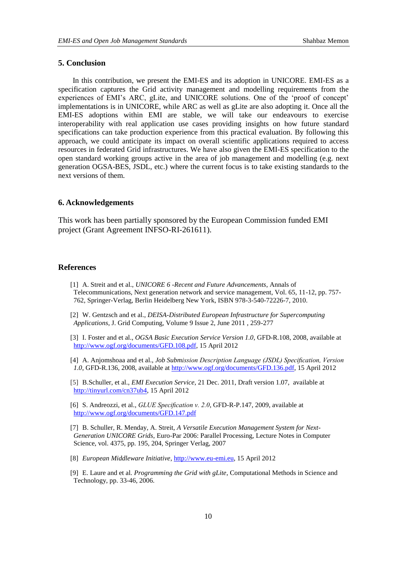## **5. Conclusion**

In this contribution, we present the EMI-ES and its adoption in UNICORE. EMI-ES as a specification captures the Grid activity management and modelling requirements from the experiences of EMI's ARC, gLite, and UNICORE solutions. One of the 'proof of concept' implementations is in UNICORE, while ARC as well as gLite are also adopting it. Once all the EMI-ES adoptions within EMI are stable, we will take our endeavours to exercise interoperability with real application use cases providing insights on how future standard specifications can take production experience from this practical evaluation. By following this approach, we could anticipate its impact on overall scientific applications required to access resources in federated Grid infrastructures. We have also given the EMI-ES specification to the open standard working groups active in the area of job management and modelling (e.g. next generation OGSA-BES, JSDL, etc.) where the current focus is to take existing standards to the next versions of them.

### **6. Acknowledgements**

This work has been partially sponsored by the European Commission funded EMI project (Grant Agreement INFSO-RI-261611).

### **References**

- [1] A. Streit and et al., *UNICORE 6 -Recent and Future Advancements*, Annals of Telecommunications, Next generation network and service management, Vol. 65, 11-12, pp. 757- 762, Springer-Verlag, Berlin Heidelberg New York, ISBN 978-3-540-72226-7, 2010.
- [2] W. Gentzsch and et al., *DEISA-Distributed European Infrastructure for Supercomputing Applications*, J. Grid Computing, Volume 9 Issue 2, June 2011 , 259-277
- [3] I. Foster and et al., *OGSA Basic Execution Service Version 1.0*, GFD-R.108, 2008, available at [http://www.ogf.org/documents/GFD.108.pdf,](http://pos.sissa.it/cgi-bin/reader/contribution.cgi?id=http://www.ogf.org/documents/GFD.108.pdf) 15 April 2012
- [4] A. Anjomshoaa and et al., *Job Submission Description Language (JSDL) Specification, Version 1.0*, GFD-R.136, 2008, available at [http://www.ogf.org/documents/GFD.136.pdf,](http://pos.sissa.it/cgi-bin/reader/contribution.cgi?id=http://www.ogf.org/documents/GFD.136.pdf) 15 April 2012

[5] B.Schuller, et al., *EMI Execution Service*, 21 Dec. 2011, Draft version 1.07, available at [http://tinyurl.com/cn37ub4,](http://pos.sissa.it/cgi-bin/reader/contribution.cgi?id=http://tinyurl.com/cn37ub4) 15 April 2012

[6] S. Andreozzi, et al., *GLUE Specification v. 2.0*, GFD-R-P.147, 2009, available at [http://www.ogf.org/documents/GFD.147.pdf](http://pos.sissa.it/cgi-bin/reader/contribution.cgi?id=http://www.ogf.org/documents/GFD.147.pdf)

- [7] B. Schuller, R. Menday, A. Streit, *A Versatile Execution Management System for Next-Generation UNICORE Grids*, Euro-Par 2006: Parallel Processing, Lecture Notes in Computer Science, vol. 4375, pp. 195, 204, Springer Verlag, 2007
- [8] *European Middleware Initiative*, [http://www.eu-emi.eu,](http://www.eu-emi.eu/) 15 April 2012
- [9] E. Laure and et al. *Programming the Grid with gLite*, Computational Methods in Science and Technology, pp. 33-46, 2006.